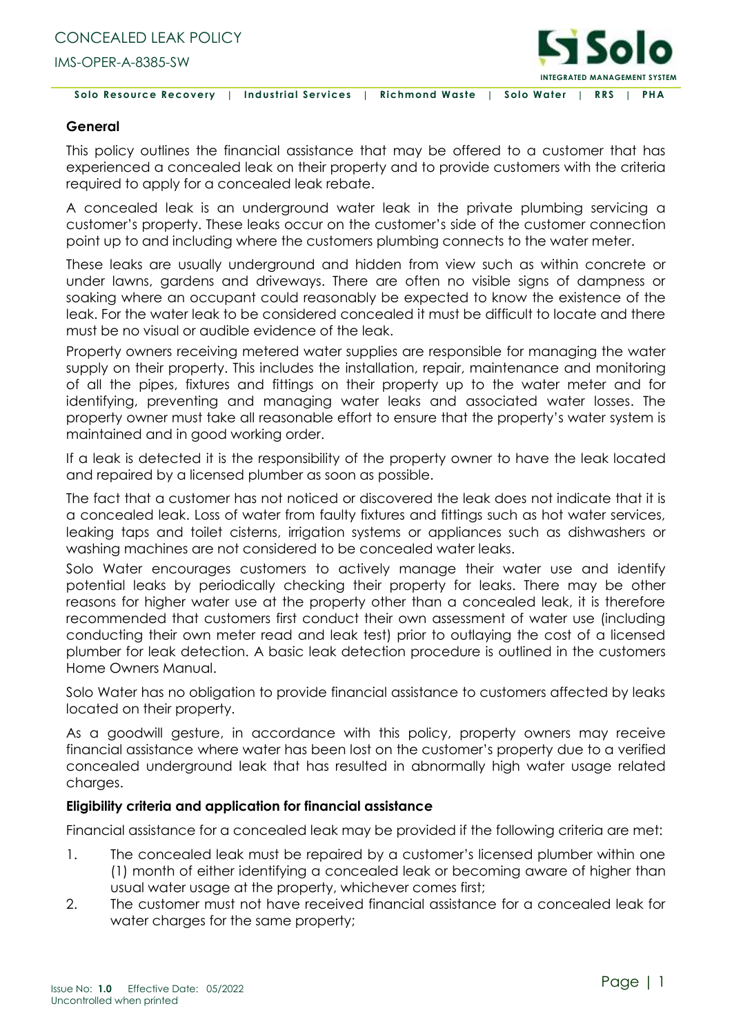

 **Solo Resource Recovery** | **Industrial Services** | **Richmond Waste** | **Solo Water** | **RRS** | **PHA**

## **General**

This policy outlines the financial assistance that may be offered to a customer that has experienced a concealed leak on their property and to provide customers with the criteria required to apply for a concealed leak rebate.

A concealed leak is an underground water leak in the private plumbing servicing a customer's property. These leaks occur on the customer's side of the customer connection point up to and including where the customers plumbing connects to the water meter.

These leaks are usually underground and hidden from view such as within concrete or under lawns, gardens and driveways. There are often no visible signs of dampness or soaking where an occupant could reasonably be expected to know the existence of the leak. For the water leak to be considered concealed it must be difficult to locate and there must be no visual or audible evidence of the leak.

Property owners receiving metered water supplies are responsible for managing the water supply on their property. This includes the installation, repair, maintenance and monitoring of all the pipes, fixtures and fittings on their property up to the water meter and for identifying, preventing and managing water leaks and associated water losses. The property owner must take all reasonable effort to ensure that the property's water system is maintained and in good working order.

If a leak is detected it is the responsibility of the property owner to have the leak located and repaired by a licensed plumber as soon as possible.

The fact that a customer has not noticed or discovered the leak does not indicate that it is a concealed leak. Loss of water from faulty fixtures and fittings such as hot water services, leaking taps and toilet cisterns, irrigation systems or appliances such as dishwashers or washing machines are not considered to be concealed water leaks.

Solo Water encourages customers to actively manage their water use and identify potential leaks by periodically checking their property for leaks. There may be other reasons for higher water use at the property other than a concealed leak, it is therefore recommended that customers first conduct their own assessment of water use (including conducting their own meter read and leak test) prior to outlaying the cost of a licensed plumber for leak detection. A basic leak detection procedure is outlined in the customers Home Owners Manual.

Solo Water has no obligation to provide financial assistance to customers affected by leaks located on their property.

As a goodwill gesture, in accordance with this policy, property owners may receive financial assistance where water has been lost on the customer's property due to a verified concealed underground leak that has resulted in abnormally high water usage related charges.

## **Eligibility criteria and application for financial assistance**

Financial assistance for a concealed leak may be provided if the following criteria are met:

- 1. The concealed leak must be repaired by a customer's licensed plumber within one (1) month of either identifying a concealed leak or becoming aware of higher than usual water usage at the property, whichever comes first;
- 2. The customer must not have received financial assistance for a concealed leak for water charges for the same property;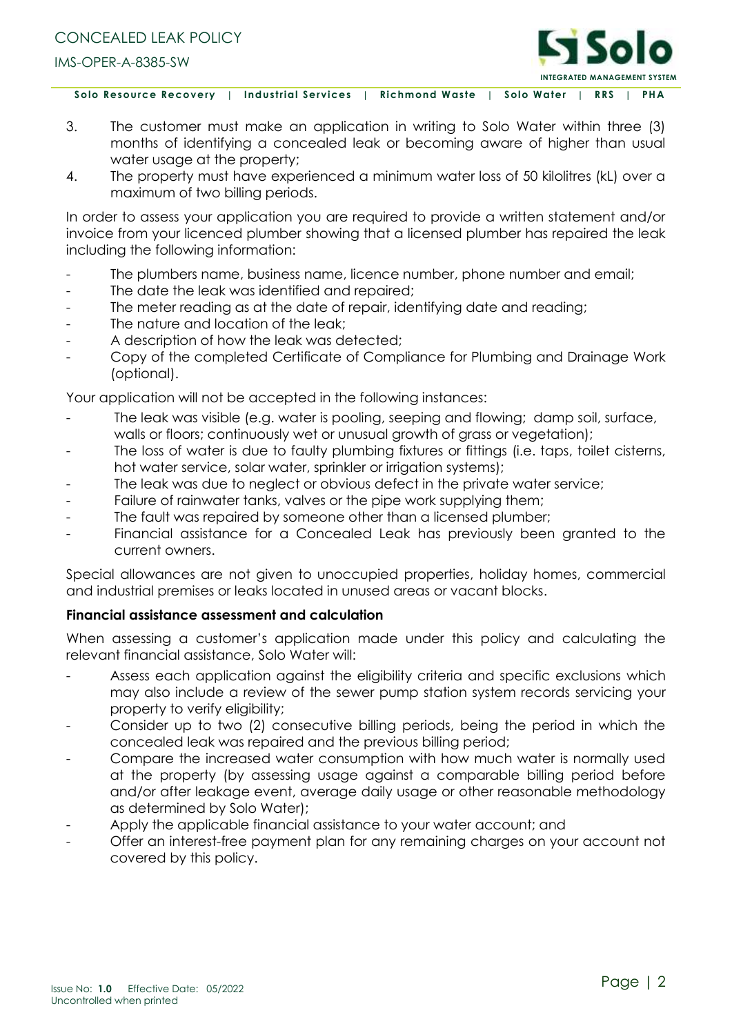

 **Solo Resource Recovery** | **Industrial Services** | **Richmond Waste** | **Solo Water** | **RRS** | **PHA**

- 3. The customer must make an application in writing to Solo Water within three (3) months of identifying a concealed leak or becoming aware of higher than usual water usage at the property;
- 4. The property must have experienced a minimum water loss of 50 kilolitres (kL) over a maximum of two billing periods.

In order to assess your application you are required to provide a written statement and/or invoice from your licenced plumber showing that a licensed plumber has repaired the leak including the following information:

- The plumbers name, business name, licence number, phone number and email;
- The date the leak was identified and repaired;
- The meter reading as at the date of repair, identifying date and reading;
- The nature and location of the leak:
- A description of how the leak was detected;
- Copy of the completed Certificate of Compliance for Plumbing and Drainage Work (optional).

Your application will not be accepted in the following instances:

- The leak was visible (e.g. water is pooling, seeping and flowing; damp soil, surface, walls or floors; continuously wet or unusual growth of grass or vegetation);
- The loss of water is due to faulty plumbing fixtures or fittings (i.e. taps, toilet cisterns, hot water service, solar water, sprinkler or irrigation systems);
- The leak was due to neglect or obvious defect in the private water service;
- Failure of rainwater tanks, valves or the pipe work supplying them;
- The fault was repaired by someone other than a licensed plumber;
- Financial assistance for a Concealed Leak has previously been granted to the current owners.

Special allowances are not given to unoccupied properties, holiday homes, commercial and industrial premises or leaks located in unused areas or vacant blocks.

## **Financial assistance assessment and calculation**

When assessing a customer's application made under this policy and calculating the relevant financial assistance, Solo Water will:

- Assess each application against the eligibility criteria and specific exclusions which may also include a review of the sewer pump station system records servicing your property to verify eligibility;
- Consider up to two (2) consecutive billing periods, being the period in which the concealed leak was repaired and the previous billing period;
- Compare the increased water consumption with how much water is normally used at the property (by assessing usage against a comparable billing period before and/or after leakage event, average daily usage or other reasonable methodology as determined by Solo Water);
- Apply the applicable financial assistance to your water account; and
- Offer an interest-free payment plan for any remaining charges on your account not covered by this policy.